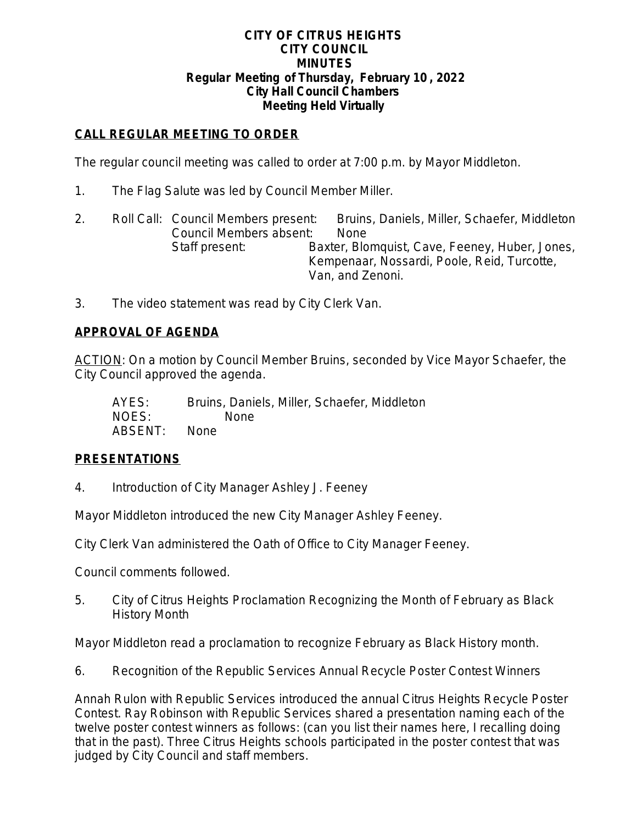#### **CITY OF CITRUS HEIGHTS CITY COUNCIL MINUTES Regular Meeting of Thursday, February 10 , 2022 City Hall Council Chambers Meeting Held Virtually**

# **CALL REGULAR MEETING TO ORDER**

The regular council meeting was called to order at 7:00 p.m. by Mayor Middleton.

- 1. The Flag Salute was led by Council Member Miller.
- 2. Roll Call: Council Members present: Bruins, Daniels, Miller, Schaefer, Middleton Council Members absent: None Staff present: Baxter, Blomquist, Cave, Feeney, Huber, Jones, Kempenaar, Nossardi, Poole, Reid, Turcotte, Van, and Zenoni.
- 3. The video statement was read by City Clerk Van.

# **APPROVAL OF AGENDA**

ACTION: On a motion by Council Member Bruins, seconded by Vice Mayor Schaefer, the City Council approved the agenda.

| AYES:   | Bruins, Daniels, Miller, Schaefer, Middleton |
|---------|----------------------------------------------|
| NOES:   | None.                                        |
| ABSENT: | – None                                       |

# **PRESENTATIONS**

4. Introduction of City Manager Ashley J. Feeney

Mayor Middleton introduced the new City Manager Ashley Feeney.

City Clerk Van administered the Oath of Office to City Manager Feeney.

Council comments followed.

5. City of Citrus Heights Proclamation Recognizing the Month of February as Black History Month

Mayor Middleton read a proclamation to recognize February as Black History month.

6. Recognition of the Republic Services Annual Recycle Poster Contest Winners

Annah Rulon with Republic Services introduced the annual Citrus Heights Recycle Poster Contest. Ray Robinson with Republic Services shared a presentation naming each of the twelve poster contest winners as follows: (can you list their names here, I recalling doing that in the past). Three Citrus Heights schools participated in the poster contest that was judged by City Council and staff members.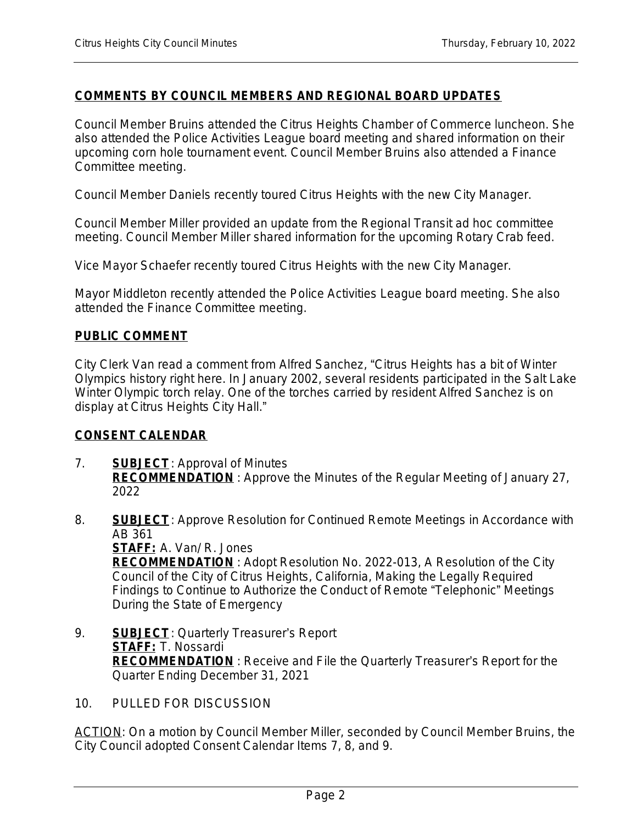### **COMMENTS BY COUNCIL MEMBERS AND REGIONAL BOARD UPDATES**

Council Member Bruins attended the Citrus Heights Chamber of Commerce luncheon. She also attended the Police Activities League board meeting and shared information on their upcoming corn hole tournament event. Council Member Bruins also attended a Finance Committee meeting.

Council Member Daniels recently toured Citrus Heights with the new City Manager.

Council Member Miller provided an update from the Regional Transit ad hoc committee meeting. Council Member Miller shared information for the upcoming Rotary Crab feed.

Vice Mayor Schaefer recently toured Citrus Heights with the new City Manager.

Mayor Middleton recently attended the Police Activities League board meeting. She also attended the Finance Committee meeting.

#### **PUBLIC COMMENT**

City Clerk Van read a comment from Alfred Sanchez, "Citrus Heights has a bit of Winter Olympics history right here. In January 2002, several residents participated in the Salt Lake Winter Olympic torch relay. One of the torches carried by resident Alfred Sanchez is on display at Citrus Heights City Hall."

#### **CONSENT CALENDAR**

- 7. **SUBJECT**: Approval of Minutes **RECOMMENDATION** : Approve the Minutes of the Regular Meeting of January 27, 2022
- 8. **SUBJECT**: Approve Resolution for Continued Remote Meetings in Accordance with AB 361

**STAFF:** A. Van/ R. Jones **RECOMMENDATION** : Adopt Resolution No. 2022-013, A Resolution of the City Council of the City of Citrus Heights, California, Making the Legally Required Findings to Continue to Authorize the Conduct of Remote "Telephonic" Meetings During the State of Emergency

- 9. **SUBJECT**: Quarterly Treasurer's Report **STAFF:** T. Nossardi **RECOMMENDATION** : Receive and File the Quarterly Treasurer's Report for the Quarter Ending December 31, 2021
- 10. PULLED FOR DISCUSSION

ACTION: On a motion by Council Member Miller, seconded by Council Member Bruins, the City Council adopted Consent Calendar Items 7, 8, and 9.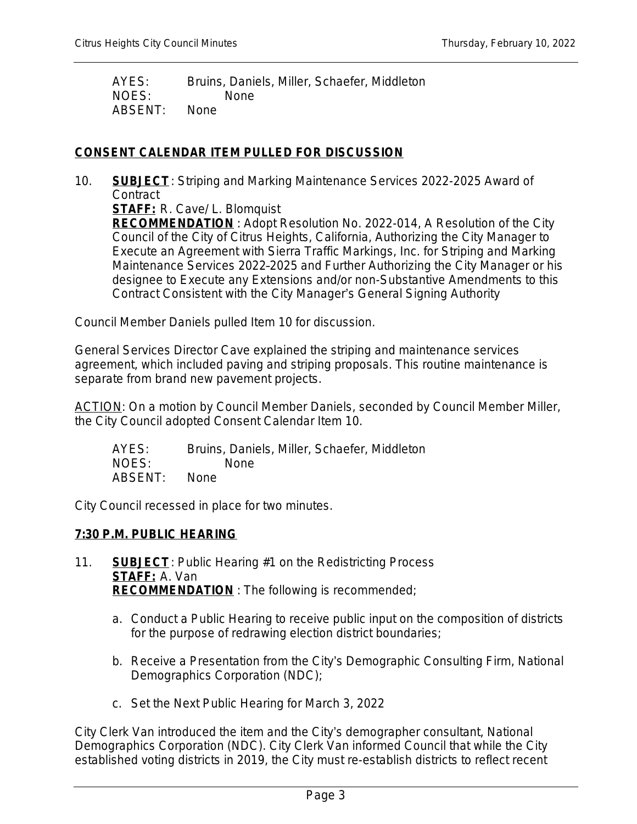AYES: Bruins, Daniels, Miller, Schaefer, Middleton NOES: None ABSENT: None

# **CONSENT CALENDAR ITEM PULLED FOR DISCUSSION**

10. **SUBJECT**: Striping and Marking Maintenance Services 2022-2025 Award of **Contract** 

**STAFF:** R. Cave/ L. Blomquist

**RECOMMENDATION** : Adopt Resolution No. 2022-014, A Resolution of the City Council of the City of Citrus Heights, California, Authorizing the City Manager to Execute an Agreement with Sierra Traffic Markings, Inc. for Striping and Marking Maintenance Services 2022–2025 and Further Authorizing the City Manager or his designee to Execute any Extensions and/or non-Substantive Amendments to this Contract Consistent with the City Manager's General Signing Authority

Council Member Daniels pulled Item 10 for discussion.

General Services Director Cave explained the striping and maintenance services agreement, which included paving and striping proposals. This routine maintenance is separate from brand new pavement projects.

ACTION: On a motion by Council Member Daniels, seconded by Council Member Miller, the City Council adopted Consent Calendar Item 10.

AYES: Bruins, Daniels, Miller, Schaefer, Middleton NOES: None ABSENT: None

City Council recessed in place for two minutes.

# **7:30 P.M. PUBLIC HEARING**

- 11. **SUBJECT**: Public Hearing #1 on the Redistricting Process **STAFF:** A. Van **RECOMMENDATION** : The following is recommended;
	- a. Conduct a Public Hearing to receive public input on the composition of districts for the purpose of redrawing election district boundaries;
	- b. Receive a Presentation from the City's Demographic Consulting Firm, National Demographics Corporation (NDC);
	- c. Set the Next Public Hearing for March 3, 2022

City Clerk Van introduced the item and the City's demographer consultant, National Demographics Corporation (NDC). City Clerk Van informed Council that while the City established voting districts in 2019, the City must re-establish districts to reflect recent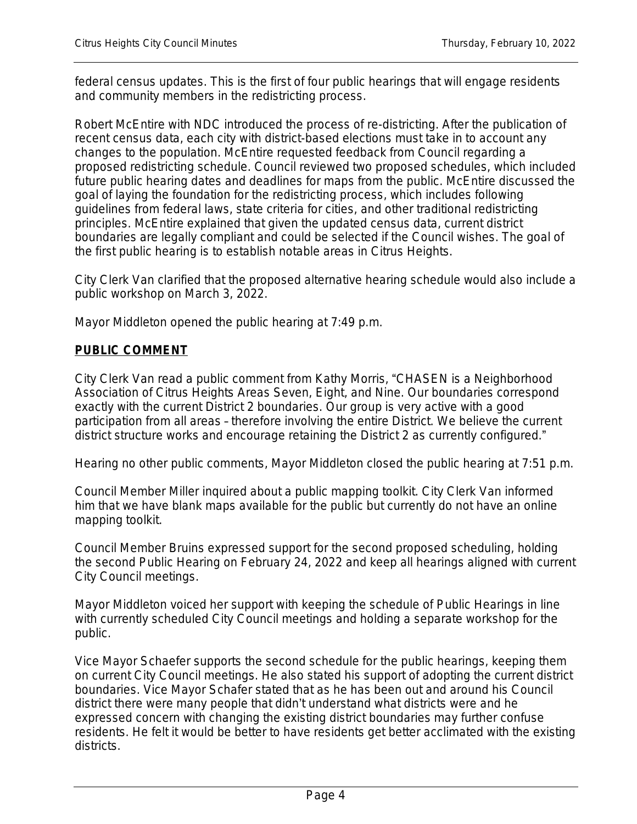federal census updates. This is the first of four public hearings that will engage residents and community members in the redistricting process.

Robert McEntire with NDC introduced the process of re-districting. After the publication of recent census data, each city with district-based elections must take in to account any changes to the population. McEntire requested feedback from Council regarding a proposed redistricting schedule. Council reviewed two proposed schedules, which included future public hearing dates and deadlines for maps from the public. McEntire discussed the goal of laying the foundation for the redistricting process, which includes following guidelines from federal laws, state criteria for cities, and other traditional redistricting principles. McEntire explained that given the updated census data, current district boundaries are legally compliant and could be selected if the Council wishes. The goal of the first public hearing is to establish notable areas in Citrus Heights.

City Clerk Van clarified that the proposed alternative hearing schedule would also include a public workshop on March 3, 2022.

Mayor Middleton opened the public hearing at 7:49 p.m.

# **PUBLIC COMMENT**

City Clerk Van read a public comment from Kathy Morris, "CHASEN is a Neighborhood Association of Citrus Heights Areas Seven, Eight, and Nine. Our boundaries correspond exactly with the current District 2 boundaries. Our group is very active with a good participation from all areas – therefore involving the entire District. We believe the current district structure works and encourage retaining the District 2 as currently configured."

Hearing no other public comments, Mayor Middleton closed the public hearing at 7:51 p.m.

Council Member Miller inquired about a public mapping toolkit. City Clerk Van informed him that we have blank maps available for the public but currently do not have an online mapping toolkit.

Council Member Bruins expressed support for the second proposed scheduling, holding the second Public Hearing on February 24, 2022 and keep all hearings aligned with current City Council meetings.

Mayor Middleton voiced her support with keeping the schedule of Public Hearings in line with currently scheduled City Council meetings and holding a separate workshop for the public.

Vice Mayor Schaefer supports the second schedule for the public hearings, keeping them on current City Council meetings. He also stated his support of adopting the current district boundaries. Vice Mayor Schafer stated that as he has been out and around his Council district there were many people that didn't understand what districts were and he expressed concern with changing the existing district boundaries may further confuse residents. He felt it would be better to have residents get better acclimated with the existing districts.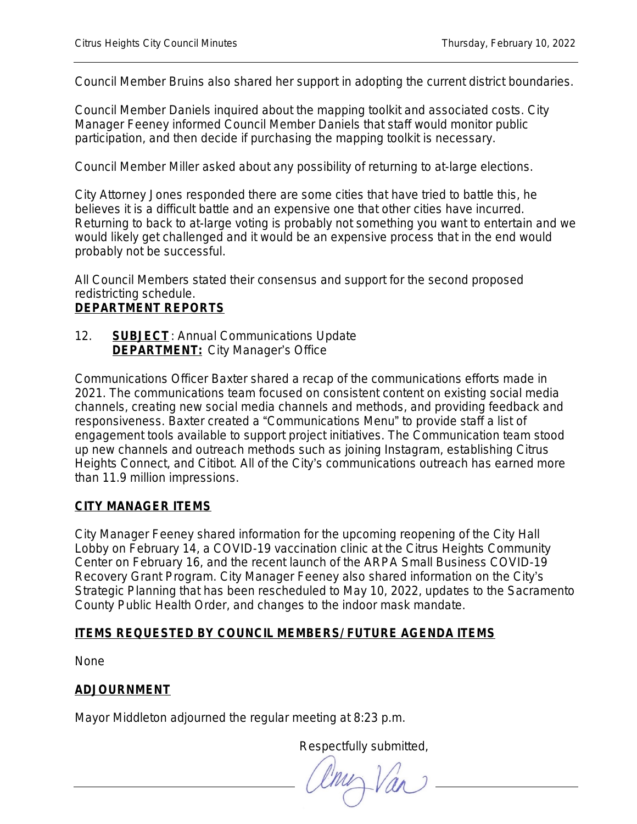Council Member Bruins also shared her support in adopting the current district boundaries.

Council Member Daniels inquired about the mapping toolkit and associated costs. City Manager Feeney informed Council Member Daniels that staff would monitor public participation, and then decide if purchasing the mapping toolkit is necessary.

Council Member Miller asked about any possibility of returning to at-large elections.

City Attorney Jones responded there are some cities that have tried to battle this, he believes it is a difficult battle and an expensive one that other cities have incurred. Returning to back to at-large voting is probably not something you want to entertain and we would likely get challenged and it would be an expensive process that in the end would probably not be successful.

All Council Members stated their consensus and support for the second proposed redistricting schedule.

# **DEPARTMENT REPORTS**

12. **SUBJECT**: Annual Communications Update **DEPARTMENT:** City Manager's Office

Communications Officer Baxter shared a recap of the communications efforts made in 2021. The communications team focused on consistent content on existing social media channels, creating new social media channels and methods, and providing feedback and responsiveness. Baxter created a "Communications Menu" to provide staff a list of engagement tools available to support project initiatives. The Communication team stood up new channels and outreach methods such as joining Instagram, establishing Citrus Heights Connect, and Citibot. All of the City's communications outreach has earned more than 11.9 million impressions.

# **CITY MANAGER ITEMS**

City Manager Feeney shared information for the upcoming reopening of the City Hall Lobby on February 14, a COVID-19 vaccination clinic at the Citrus Heights Community Center on February 16, and the recent launch of the ARPA Small Business COVID-19 Recovery Grant Program. City Manager Feeney also shared information on the City's Strategic Planning that has been rescheduled to May 10, 2022, updates to the Sacramento County Public Health Order, and changes to the indoor mask mandate.

# **ITEMS REQUESTED BY COUNCIL MEMBERS/ FUTURE AGENDA ITEMS**

None

# **ADJOURNMENT**

Mayor Middleton adjourned the regular meeting at 8:23 p.m.

Respectfully submitted,

 $\overline{\phantom{a}}$